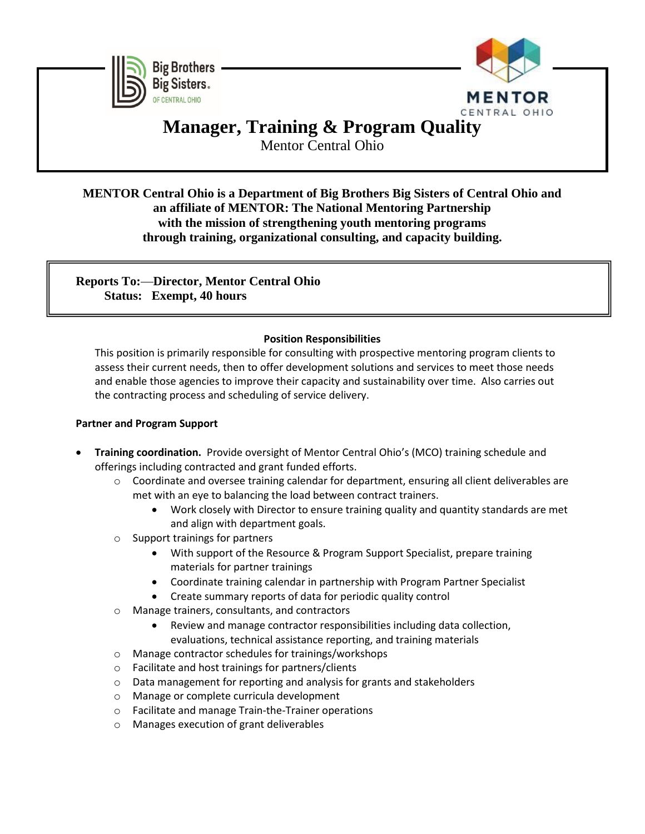



# **Manager, Training & Program Quality**

Mentor Central Ohio

# **MENTOR Central Ohio is a Department of Big Brothers Big Sisters of Central Ohio and an affiliate of MENTOR: The National Mentoring Partnership with the mission of strengthening youth mentoring programs through training, organizational consulting, and capacity building.**

**Reports To: Director, Mentor Central Ohio Status: Exempt, 40 hours**

## **Position Responsibilities**

This position is primarily responsible for consulting with prospective mentoring program clients to assess their current needs, then to offer development solutions and services to meet those needs and enable those agencies to improve their capacity and sustainability over time. Also carries out the contracting process and scheduling of service delivery.

### **Partner and Program Support**

- **Training coordination.** Provide oversight of Mentor Central Ohio's (MCO) training schedule and offerings including contracted and grant funded efforts.
	- o Coordinate and oversee training calendar for department, ensuring all client deliverables are met with an eye to balancing the load between contract trainers.
		- Work closely with Director to ensure training quality and quantity standards are met and align with department goals.
	- o Support trainings for partners
		- With support of the Resource & Program Support Specialist, prepare training materials for partner trainings
		- Coordinate training calendar in partnership with Program Partner Specialist
		- Create summary reports of data for periodic quality control
	- o Manage trainers, consultants, and contractors
		- Review and manage contractor responsibilities including data collection, evaluations, technical assistance reporting, and training materials
	- o Manage contractor schedules for trainings/workshops
	- o Facilitate and host trainings for partners/clients
	- o Data management for reporting and analysis for grants and stakeholders
	- o Manage or complete curricula development
	- o Facilitate and manage Train-the-Trainer operations
	- o Manages execution of grant deliverables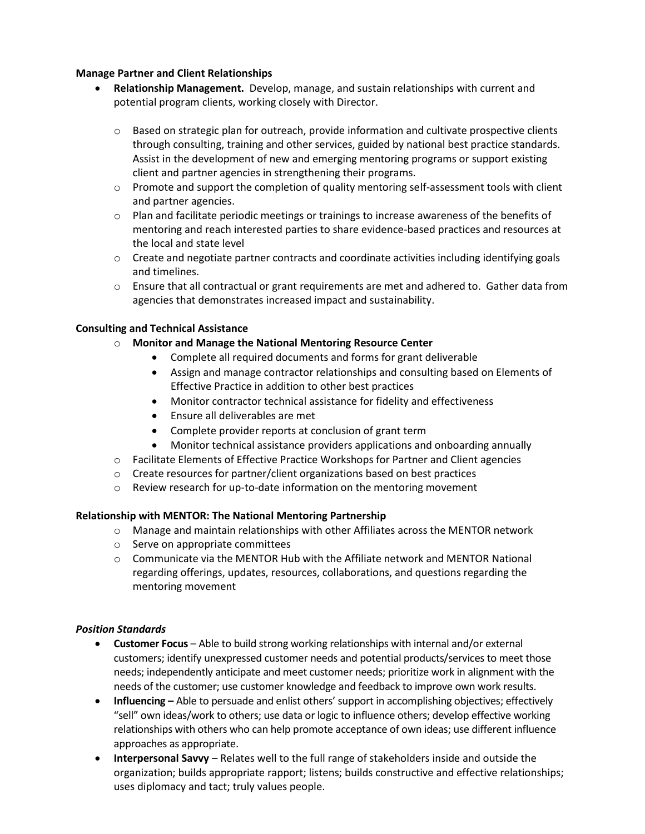#### **Manage Partner and Client Relationships**

- **Relationship Management.** Develop, manage, and sustain relationships with current and potential program clients, working closely with Director.
	- $\circ$  Based on strategic plan for outreach, provide information and cultivate prospective clients through consulting, training and other services, guided by national best practice standards. Assist in the development of new and emerging mentoring programs or support existing client and partner agencies in strengthening their programs.
	- $\circ$  Promote and support the completion of quality mentoring self-assessment tools with client and partner agencies.
	- $\circ$  Plan and facilitate periodic meetings or trainings to increase awareness of the benefits of mentoring and reach interested parties to share evidence-based practices and resources at the local and state level
	- $\circ$  Create and negotiate partner contracts and coordinate activities including identifying goals and timelines.
	- $\circ$  Ensure that all contractual or grant requirements are met and adhered to. Gather data from agencies that demonstrates increased impact and sustainability.

#### **Consulting and Technical Assistance**

- o **Monitor and Manage the National Mentoring Resource Center**
	- Complete all required documents and forms for grant deliverable
	- Assign and manage contractor relationships and consulting based on Elements of Effective Practice in addition to other best practices
	- Monitor contractor technical assistance for fidelity and effectiveness
	- Ensure all deliverables are met
	- Complete provider reports at conclusion of grant term
	- Monitor technical assistance providers applications and onboarding annually
- o Facilitate Elements of Effective Practice Workshops for Partner and Client agencies
- o Create resources for partner/client organizations based on best practices
- o Review research for up-to-date information on the mentoring movement

#### **Relationship with MENTOR: The National Mentoring Partnership**

- $\circ$  Manage and maintain relationships with other Affiliates across the MENTOR network
- o Serve on appropriate committees
- $\circ$  Communicate via the MENTOR Hub with the Affiliate network and MENTOR National regarding offerings, updates, resources, collaborations, and questions regarding the mentoring movement

#### *Position Standards*

- **Customer Focus**  Able to build strong working relationships with internal and/or external customers; identify unexpressed customer needs and potential products/services to meet those needs; independently anticipate and meet customer needs; prioritize work in alignment with the needs of the customer; use customer knowledge and feedback to improve own work results.
- **Influencing –** Able to persuade and enlist others' support in accomplishing objectives; effectively "sell" own ideas/work to others; use data or logic to influence others; develop effective working relationships with others who can help promote acceptance of own ideas; use different influence approaches as appropriate.
- **Interpersonal Savvy** Relates well to the full range of stakeholders inside and outside the organization; builds appropriate rapport; listens; builds constructive and effective relationships; uses diplomacy and tact; truly values people.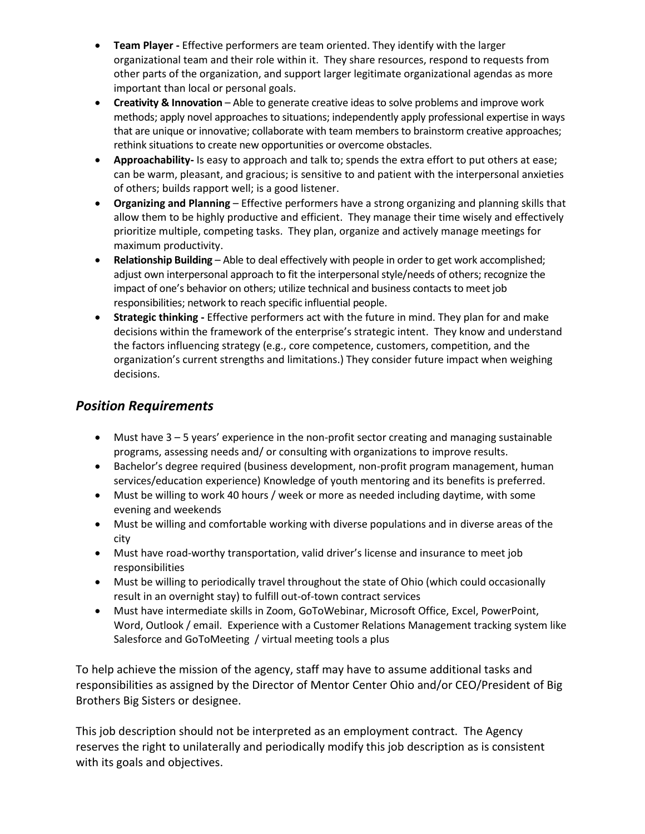- **Team Player -** Effective performers are team oriented. They identify with the larger organizational team and their role within it. They share resources, respond to requests from other parts of the organization, and support larger legitimate organizational agendas as more important than local or personal goals.
- **Creativity & Innovation** Able to generate creative ideas to solve problems and improve work methods; apply novel approaches to situations; independently apply professional expertise in ways that are unique or innovative; collaborate with team members to brainstorm creative approaches; rethink situations to create new opportunities or overcome obstacles.
- **Approachability-** Is easy to approach and talk to; spends the extra effort to put others at ease; can be warm, pleasant, and gracious; is sensitive to and patient with the interpersonal anxieties of others; builds rapport well; is a good listener.
- **Organizing and Planning** Effective performers have a strong organizing and planning skills that allow them to be highly productive and efficient. They manage their time wisely and effectively prioritize multiple, competing tasks. They plan, organize and actively manage meetings for maximum productivity.
- **Relationship Building** Able to deal effectively with people in order to get work accomplished; adjust own interpersonal approach to fit the interpersonal style/needs of others; recognize the impact of one's behavior on others; utilize technical and business contacts to meet job responsibilities; network to reach specific influential people.
- **Strategic thinking -** Effective performers act with the future in mind. They plan for and make decisions within the framework of the enterprise's strategic intent. They know and understand the factors influencing strategy (e.g., core competence, customers, competition, and the organization's current strengths and limitations.) They consider future impact when weighing decisions.

# *Position Requirements*

- Must have 3 5 years' experience in the non-profit sector creating and managing sustainable programs, assessing needs and/ or consulting with organizations to improve results.
- Bachelor's degree required (business development, non-profit program management, human services/education experience) Knowledge of youth mentoring and its benefits is preferred.
- Must be willing to work 40 hours / week or more as needed including daytime, with some evening and weekends
- Must be willing and comfortable working with diverse populations and in diverse areas of the city
- Must have road-worthy transportation, valid driver's license and insurance to meet job responsibilities
- Must be willing to periodically travel throughout the state of Ohio (which could occasionally result in an overnight stay) to fulfill out-of-town contract services
- Must have intermediate skills in Zoom, GoToWebinar, Microsoft Office, Excel, PowerPoint, Word, Outlook / email. Experience with a Customer Relations Management tracking system like Salesforce and GoToMeeting / virtual meeting tools a plus

To help achieve the mission of the agency, staff may have to assume additional tasks and responsibilities as assigned by the Director of Mentor Center Ohio and/or CEO/President of Big Brothers Big Sisters or designee.

This job description should not be interpreted as an employment contract. The Agency reserves the right to unilaterally and periodically modify this job description as is consistent with its goals and objectives.